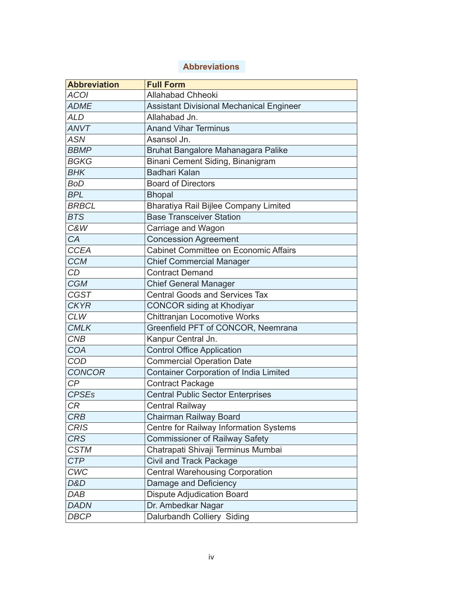## **Abbreviations**

| <b>Abbreviation</b> | <b>Full Form</b>                                |
|---------------------|-------------------------------------------------|
| <b>ACOI</b>         | <b>Allahabad Chheoki</b>                        |
| <b>ADME</b>         | <b>Assistant Divisional Mechanical Engineer</b> |
| <b>ALD</b>          | Allahabad Jn.                                   |
| <b>ANVT</b>         | <b>Anand Vihar Terminus</b>                     |
| ASN                 | Asansol Jn.                                     |
| <b>BBMP</b>         | Bruhat Bangalore Mahanagara Palike              |
| <b>BGKG</b>         | Binani Cement Siding, Binanigram                |
| <b>BHK</b>          | Badhari Kalan                                   |
| <b>BoD</b>          | <b>Board of Directors</b>                       |
| <b>BPL</b>          | <b>Bhopal</b>                                   |
| <b>BRBCL</b>        | Bharatiya Rail Bijlee Company Limited           |
| <b>BTS</b>          | <b>Base Transceiver Station</b>                 |
| <b>C&amp;W</b>      | Carriage and Wagon                              |
| CA                  | <b>Concession Agreement</b>                     |
| <b>CCEA</b>         | <b>Cabinet Committee on Economic Affairs</b>    |
| <b>CCM</b>          | <b>Chief Commercial Manager</b>                 |
| <b>CD</b>           | <b>Contract Demand</b>                          |
| <b>CGM</b>          | <b>Chief General Manager</b>                    |
| <b>CGST</b>         | <b>Central Goods and Services Tax</b>           |
| <b>CKYR</b>         | <b>CONCOR</b> siding at Khodiyar                |
| <b>CLW</b>          | Chittranjan Locomotive Works                    |
| <b>CMLK</b>         | Greenfield PFT of CONCOR, Neemrana              |
| <b>CNB</b>          | Kanpur Central Jn.                              |
| <b>COA</b>          | <b>Control Office Application</b>               |
| COD                 | <b>Commercial Operation Date</b>                |
| <b>CONCOR</b>       | <b>Container Corporation of India Limited</b>   |
| CP                  | <b>Contract Package</b>                         |
| <b>CPSEs</b>        | <b>Central Public Sector Enterprises</b>        |
| CR                  | <b>Central Railway</b>                          |
| <b>CRB</b>          | Chairman Railway Board                          |
| <b>CRIS</b>         | Centre for Railway Information Systems          |
| <b>CRS</b>          | <b>Commissioner of Railway Safety</b>           |
| <b>CSTM</b>         | Chatrapati Shivaji Terminus Mumbai              |
| <b>CTP</b>          | <b>Civil and Track Package</b>                  |
| <b>CWC</b>          | <b>Central Warehousing Corporation</b>          |
| D&D                 | Damage and Deficiency                           |
| DAB                 | <b>Dispute Adjudication Board</b>               |
| <b>DADN</b>         | Dr. Ambedkar Nagar                              |
| <b>DBCP</b>         | Dalurbandh Colliery Siding                      |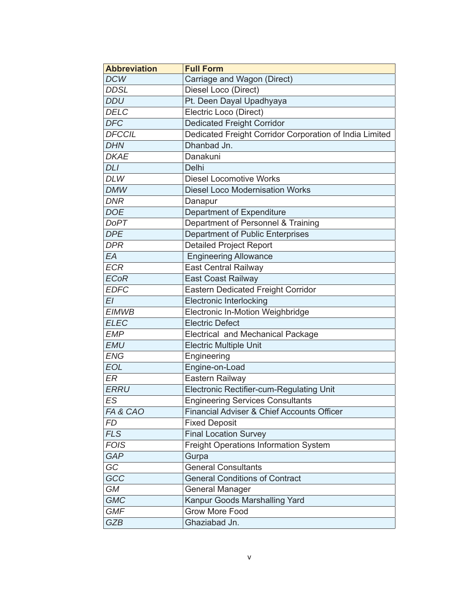| <b>Abbreviation</b> | <b>Full Form</b>                                        |
|---------------------|---------------------------------------------------------|
| <b>DCW</b>          | Carriage and Wagon (Direct)                             |
| <b>DDSL</b>         | Diesel Loco (Direct)                                    |
| <b>DDU</b>          | Pt. Deen Dayal Upadhyaya                                |
| <b>DELC</b>         | Electric Loco (Direct)                                  |
| <b>DFC</b>          | <b>Dedicated Freight Corridor</b>                       |
| <b>DFCCIL</b>       | Dedicated Freight Corridor Corporation of India Limited |
| <b>DHN</b>          | Dhanbad Jn.                                             |
| <b>DKAE</b>         | Danakuni                                                |
| <b>DLI</b>          | Delhi                                                   |
| <b>DLW</b>          | <b>Diesel Locomotive Works</b>                          |
| <b>DMW</b>          | <b>Diesel Loco Modernisation Works</b>                  |
| <b>DNR</b>          | Danapur                                                 |
| <b>DOE</b>          | Department of Expenditure                               |
| <b>DoPT</b>         | Department of Personnel & Training                      |
| <b>DPE</b>          | <b>Department of Public Enterprises</b>                 |
| <b>DPR</b>          | Detailed Project Report                                 |
| EA                  | <b>Engineering Allowance</b>                            |
| <b>ECR</b>          | East Central Railway                                    |
| <b>ECoR</b>         | <b>East Coast Railway</b>                               |
| <b>EDFC</b>         | Eastern Dedicated Freight Corridor                      |
| EI                  | <b>Electronic Interlocking</b>                          |
| <b>EIMWB</b>        | Electronic In-Motion Weighbridge                        |
| <b>ELEC</b>         | <b>Electric Defect</b>                                  |
| <b>EMP</b>          | <b>Electrical and Mechanical Package</b>                |
| <b>EMU</b>          | <b>Electric Multiple Unit</b>                           |
| <b>ENG</b>          | Engineering                                             |
| <b>EOL</b>          | Engine-on-Load                                          |
| ER                  | Eastern Railway                                         |
| <b>ERRU</b>         | Electronic Rectifier-cum-Regulating Unit                |
| ES                  | <b>Engineering Services Consultants</b>                 |
| FA & CAO            | Financial Adviser & Chief Accounts Officer              |
| <b>FD</b>           | <b>Fixed Deposit</b>                                    |
| <b>FLS</b>          | <b>Final Location Survey</b>                            |
| <b>FOIS</b>         | <b>Freight Operations Information System</b>            |
| <b>GAP</b>          | Gurpa                                                   |
| GC                  | <b>General Consultants</b>                              |
| GCC                 | <b>General Conditions of Contract</b>                   |
| <b>GM</b>           | General Manager                                         |
| <b>GMC</b>          | Kanpur Goods Marshalling Yard                           |
| <b>GMF</b>          | <b>Grow More Food</b>                                   |
| <b>GZB</b>          | Ghaziabad Jn.                                           |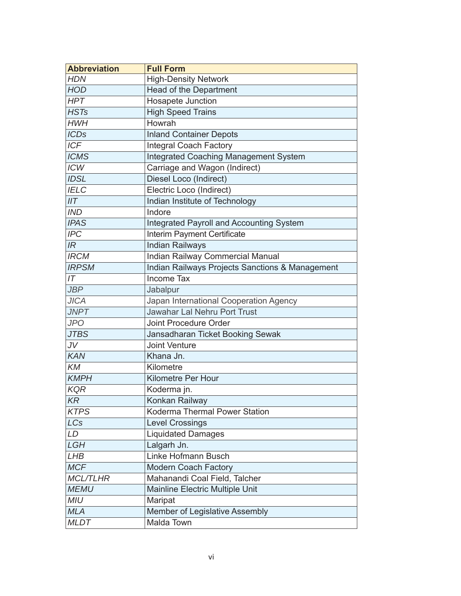| <b>Abbreviation</b> | <b>Full Form</b>                                |
|---------------------|-------------------------------------------------|
| <b>HDN</b>          | <b>High-Density Network</b>                     |
| <b>HOD</b>          | Head of the Department                          |
| <b>HPT</b>          | Hosapete Junction                               |
| <b>HSTs</b>         | <b>High Speed Trains</b>                        |
| <b>HWH</b>          | Howrah                                          |
| <b>ICDs</b>         | <b>Inland Container Depots</b>                  |
| <b>ICF</b>          | <b>Integral Coach Factory</b>                   |
| <b>ICMS</b>         | <b>Integrated Coaching Management System</b>    |
| <b>ICW</b>          | Carriage and Wagon (Indirect)                   |
| <b>IDSL</b>         | Diesel Loco (Indirect)                          |
| <b>IELC</b>         | Electric Loco (Indirect)                        |
| IIT                 | Indian Institute of Technology                  |
| <b>IND</b>          | Indore                                          |
| <b>IPAS</b>         | <b>Integrated Payroll and Accounting System</b> |
| <b>IPC</b>          | Interim Payment Certificate                     |
| IR                  | <b>Indian Railways</b>                          |
| <b>IRCM</b>         | Indian Railway Commercial Manual                |
| <b>IRPSM</b>        | Indian Railways Projects Sanctions & Management |
| IT                  | <b>Income Tax</b>                               |
| <b>JBP</b>          | Jabalpur                                        |
| <b>JICA</b>         | Japan International Cooperation Agency          |
| <b>JNPT</b>         | <b>Jawahar Lal Nehru Port Trust</b>             |
| JPO                 | <b>Joint Procedure Order</b>                    |
| <b>JTBS</b>         | Jansadharan Ticket Booking Sewak                |
| JV                  | <b>Joint Venture</b>                            |
| <b>KAN</b>          | Khana Jn.                                       |
| KM                  | Kilometre                                       |
| <b>KMPH</b>         | <b>Kilometre Per Hour</b>                       |
| <b>KQR</b>          | Koderma jn.                                     |
| KR                  | Konkan Railway                                  |
| <b>KTPS</b>         | Koderma Thermal Power Station                   |
| <b>LCs</b>          | <b>Level Crossings</b>                          |
| LD                  | <b>Liquidated Damages</b>                       |
| LGH                 | Lalgarh Jn.                                     |
| <b>LHB</b>          | Linke Hofmann Busch                             |
| <b>MCF</b>          | <b>Modern Coach Factory</b>                     |
| <b>MCL/TLHR</b>     | Mahanandi Coal Field, Talcher                   |
| <b>MEMU</b>         | Mainline Electric Multiple Unit                 |
| <b>MIU</b>          | Maripat                                         |
| <b>MLA</b>          | Member of Legislative Assembly                  |
| <b>MLDT</b>         | Malda Town                                      |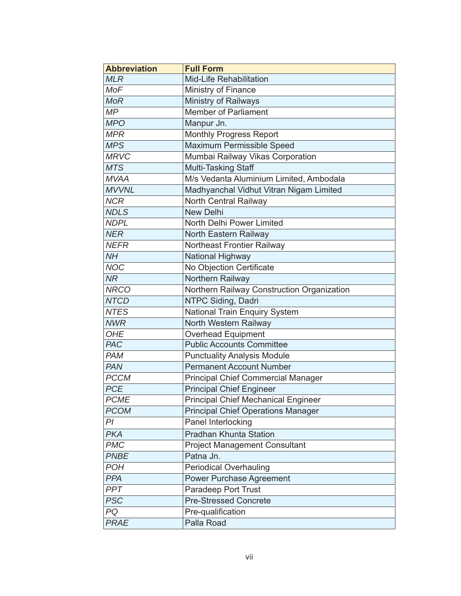| <b>Abbreviation</b> | <b>Full Form</b>                           |
|---------------------|--------------------------------------------|
| <b>MLR</b>          | <b>Mid-Life Rehabilitation</b>             |
| <b>MoF</b>          | Ministry of Finance                        |
| <b>MoR</b>          | Ministry of Railways                       |
| MP                  | <b>Member of Parliament</b>                |
| <b>MPO</b>          | Manpur Jn.                                 |
| <b>MPR</b>          | <b>Monthly Progress Report</b>             |
| <b>MPS</b>          | Maximum Permissible Speed                  |
| <b>MRVC</b>         | Mumbai Railway Vikas Corporation           |
| <b>MTS</b>          | Multi-Tasking Staff                        |
| <b>MVAA</b>         | M/s Vedanta Aluminium Limited, Ambodala    |
| <b>MVVNL</b>        | Madhyanchal Vidhut Vitran Nigam Limited    |
| <b>NCR</b>          | North Central Railway                      |
| <b>NDLS</b>         | <b>New Delhi</b>                           |
| <b>NDPL</b>         | North Delhi Power Limited                  |
| <b>NER</b>          | North Eastern Railway                      |
| <b>NEFR</b>         | Northeast Frontier Railway                 |
| NH                  | National Highway                           |
| <b>NOC</b>          | No Objection Certificate                   |
| <b>NR</b>           | Northern Railway                           |
| <b>NRCO</b>         | Northern Railway Construction Organization |
| <b>NTCD</b>         | NTPC Siding, Dadri                         |
| <b>NTES</b>         | National Train Enquiry System              |
| <b>NWR</b>          | North Western Railway                      |
| <b>OHE</b>          | <b>Overhead Equipment</b>                  |
| <b>PAC</b>          | <b>Public Accounts Committee</b>           |
| <b>PAM</b>          | <b>Punctuality Analysis Module</b>         |
| <b>PAN</b>          | <b>Permanent Account Number</b>            |
| <b>PCCM</b>         | <b>Principal Chief Commercial Manager</b>  |
| <b>PCE</b>          | <b>Principal Chief Engineer</b>            |
| <b>PCME</b>         | <b>Principal Chief Mechanical Engineer</b> |
| <b>PCOM</b>         | <b>Principal Chief Operations Manager</b>  |
| PI                  | Panel Interlocking                         |
| <b>PKA</b>          | <b>Pradhan Khunta Station</b>              |
| <b>PMC</b>          | <b>Project Management Consultant</b>       |
| <b>PNBE</b>         | Patna Jn.                                  |
| <b>POH</b>          | <b>Periodical Overhauling</b>              |
| <b>PPA</b>          | <b>Power Purchase Agreement</b>            |
| PPT                 | Paradeep Port Trust                        |
| <b>PSC</b>          | Pre-Stressed Concrete                      |
| PQ                  | Pre-qualification                          |
| <b>PRAE</b>         | Palla Road                                 |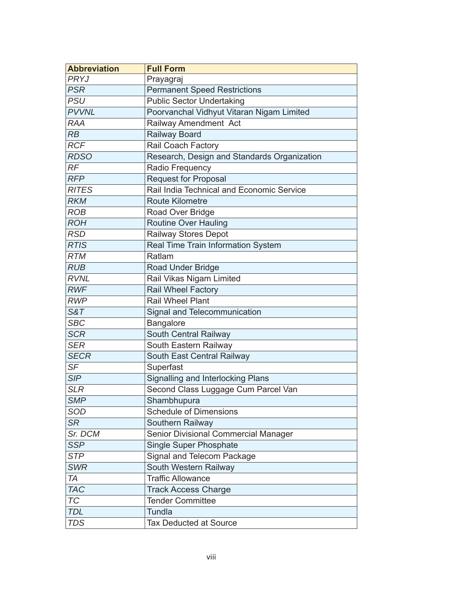| <b>Abbreviation</b> | <b>Full Form</b>                            |
|---------------------|---------------------------------------------|
| PRYJ                | Prayagraj                                   |
| <b>PSR</b>          | <b>Permanent Speed Restrictions</b>         |
| <b>PSU</b>          | <b>Public Sector Undertaking</b>            |
| <b>PVVNL</b>        | Poorvanchal Vidhyut Vitaran Nigam Limited   |
| <b>RAA</b>          | Railway Amendment Act                       |
| RB                  | <b>Railway Board</b>                        |
| <b>RCF</b>          | Rail Coach Factory                          |
| <b>RDSO</b>         | Research, Design and Standards Organization |
| RF                  | Radio Frequency                             |
| <b>RFP</b>          | <b>Request for Proposal</b>                 |
| <b>RITES</b>        | Rail India Technical and Economic Service   |
| <b>RKM</b>          | <b>Route Kilometre</b>                      |
| <b>ROB</b>          | Road Over Bridge                            |
| <b>ROH</b>          | <b>Routine Over Hauling</b>                 |
| <b>RSD</b>          | <b>Railway Stores Depot</b>                 |
| <b>RTIS</b>         | Real Time Train Information System          |
| <b>RTM</b>          | Ratlam                                      |
| <b>RUB</b>          | Road Under Bridge                           |
| <b>RVNL</b>         | Rail Vikas Nigam Limited                    |
| <b>RWF</b>          | <b>Rail Wheel Factory</b>                   |
| <b>RWP</b>          | <b>Rail Wheel Plant</b>                     |
| <b>S&amp;T</b>      | Signal and Telecommunication                |
| <b>SBC</b>          | Bangalore                                   |
| <b>SCR</b>          | South Central Railway                       |
| <b>SER</b>          | South Eastern Railway                       |
| <b>SECR</b>         | South East Central Railway                  |
| SF                  | Superfast                                   |
| <b>SIP</b>          | <b>Signalling and Interlocking Plans</b>    |
| <b>SLR</b>          | Second Class Luggage Cum Parcel Van         |
| <b>SMP</b>          | Shambhupura                                 |
| SOD                 | <b>Schedule of Dimensions</b>               |
| <b>SR</b>           | Southern Railway                            |
| Sr. DCM             | Senior Divisional Commercial Manager        |
| <b>SSP</b>          | <b>Single Super Phosphate</b>               |
| <b>STP</b>          | Signal and Telecom Package                  |
| <b>SWR</b>          | South Western Railway                       |
| <b>TA</b>           | <b>Traffic Allowance</b>                    |
| <b>TAC</b>          | <b>Track Access Charge</b>                  |
| <b>TC</b>           | <b>Tender Committee</b>                     |
| <b>TDL</b>          | <b>Tundla</b>                               |
| <b>TDS</b>          | <b>Tax Deducted at Source</b>               |